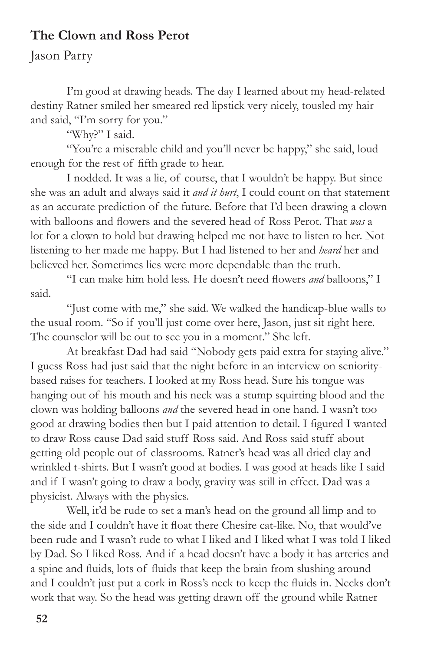## **The Clown and Ross Perot**

## Jason Parry

I'm good at drawing heads. The day I learned about my head-related destiny Ratner smiled her smeared red lipstick very nicely, tousled my hair and said, "I'm sorry for you."

"Why?" I said.

"You're a miserable child and you'll never be happy," she said, loud enough for the rest of fifth grade to hear.

I nodded. It was a lie, of course, that I wouldn't be happy. But since she was an adult and always said it *and it hurt*, I could count on that statement as an accurate prediction of the future. Before that I'd been drawing a clown with balloons and flowers and the severed head of Ross Perot. That *was* a lot for a clown to hold but drawing helped me not have to listen to her. Not listening to her made me happy. But I had listened to her and *heard* her and believed her. Sometimes lies were more dependable than the truth.

"I can make him hold less. He doesn't need flowers *and* balloons," I said.

"Just come with me," she said. We walked the handicap-blue walls to the usual room. "So if you'll just come over here, Jason, just sit right here. The counselor will be out to see you in a moment." She left.

At breakfast Dad had said "Nobody gets paid extra for staying alive." I guess Ross had just said that the night before in an interview on senioritybased raises for teachers. I looked at my Ross head. Sure his tongue was hanging out of his mouth and his neck was a stump squirting blood and the clown was holding balloons *and* the severed head in one hand. I wasn't too good at drawing bodies then but I paid attention to detail. I figured I wanted to draw Ross cause Dad said stuff Ross said. And Ross said stuff about getting old people out of classrooms. Ratner's head was all dried clay and wrinkled t-shirts. But I wasn't good at bodies. I was good at heads like I said and if I wasn't going to draw a body, gravity was still in effect. Dad was a physicist. Always with the physics.

Well, it'd be rude to set a man's head on the ground all limp and to the side and I couldn't have it float there Chesire cat-like. No, that would've been rude and I wasn't rude to what I liked and I liked what I was told I liked by Dad. So I liked Ross. And if a head doesn't have a body it has arteries and a spine and fluids, lots of fluids that keep the brain from slushing around and I couldn't just put a cork in Ross's neck to keep the fluids in. Necks don't work that way. So the head was getting drawn off the ground while Ratner